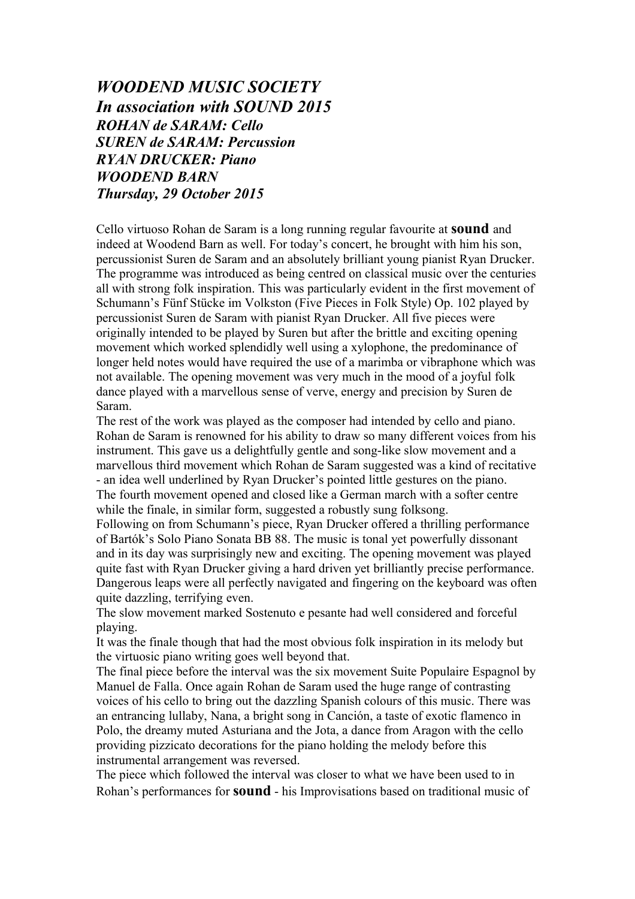## *WOODEND MUSIC SOCIETY In association with SOUND 2015 ROHAN de SARAM: Cello SUREN de SARAM: Percussion RYAN DRUCKER: Piano WOODEND BARN Thursday, 29 October 2015*

Cello virtuoso Rohan de Saram is a long running regular favourite at **sound** and indeed at Woodend Barn as well. For today's concert, he brought with him his son, percussionist Suren de Saram and an absolutely brilliant young pianist Ryan Drucker. The programme was introduced as being centred on classical music over the centuries all with strong folk inspiration. This was particularly evident in the first movement of Schumann's Fünf Stücke im Volkston (Five Pieces in Folk Style) Op. 102 played by percussionist Suren de Saram with pianist Ryan Drucker. All five pieces were originally intended to be played by Suren but after the brittle and exciting opening movement which worked splendidly well using a xylophone, the predominance of longer held notes would have required the use of a marimba or vibraphone which was not available. The opening movement was very much in the mood of a joyful folk dance played with a marvellous sense of verve, energy and precision by Suren de Saram.

The rest of the work was played as the composer had intended by cello and piano. Rohan de Saram is renowned for his ability to draw so many different voices from his instrument. This gave us a delightfully gentle and song-like slow movement and a marvellous third movement which Rohan de Saram suggested was a kind of recitative - an idea well underlined by Ryan Drucker's pointed little gestures on the piano. The fourth movement opened and closed like a German march with a softer centre while the finale, in similar form, suggested a robustly sung folksong.

Following on from Schumann's piece, Ryan Drucker offered a thrilling performance of Bartók's Solo Piano Sonata BB 88. The music is tonal yet powerfully dissonant and in its day was surprisingly new and exciting. The opening movement was played quite fast with Ryan Drucker giving a hard driven yet brilliantly precise performance. Dangerous leaps were all perfectly navigated and fingering on the keyboard was often quite dazzling, terrifying even.

The slow movement marked Sostenuto e pesante had well considered and forceful playing.

It was the finale though that had the most obvious folk inspiration in its melody but the virtuosic piano writing goes well beyond that.

The final piece before the interval was the six movement Suite Populaire Espagnol by Manuel de Falla. Once again Rohan de Saram used the huge range of contrasting voices of his cello to bring out the dazzling Spanish colours of this music. There was an entrancing lullaby, Nana, a bright song in Canción, a taste of exotic flamenco in Polo, the dreamy muted Asturiana and the Jota, a dance from Aragon with the cello providing pizzicato decorations for the piano holding the melody before this instrumental arrangement was reversed.

The piece which followed the interval was closer to what we have been used to in Rohan's performances for **sound** - his Improvisations based on traditional music of